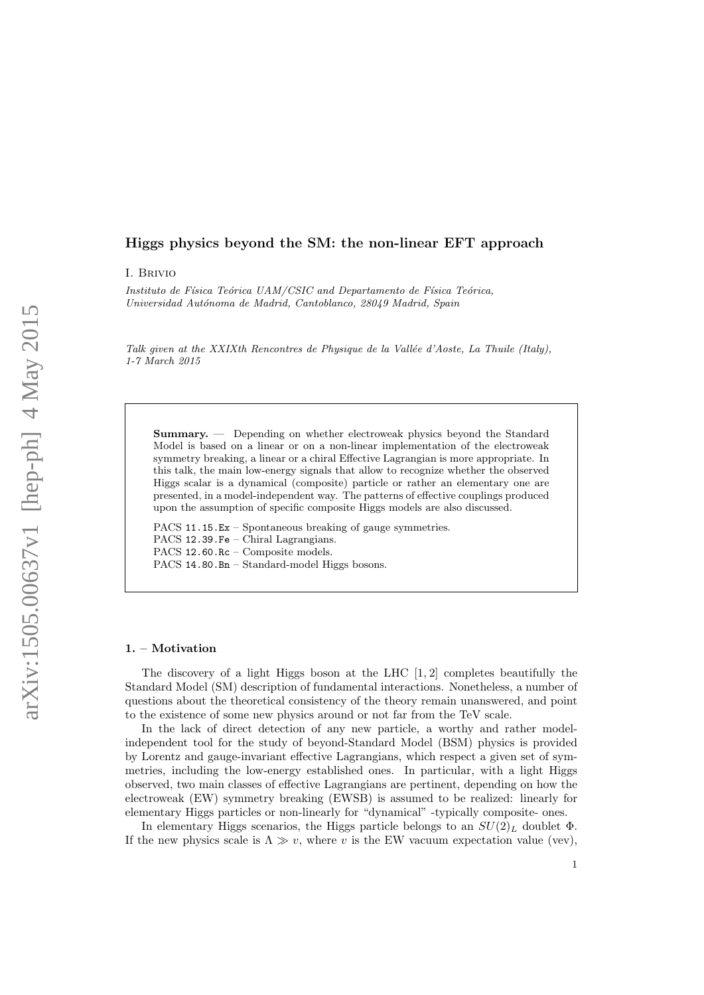# Higgs physics beyond the SM: the non-linear EFT approach

I. Brivio

Instituto de Física Teórica UAM/CSIC and Departamento de Física Teórica, Universidad Autónoma de Madrid, Cantoblanco, 28049 Madrid, Spain

Talk given at the XXIXth Rencontres de Physique de la Vallée d'Aoste, La Thuile (Italy), 1-7 March 2015

Summary. — Depending on whether electroweak physics beyond the Standard Model is based on a linear or on a non-linear implementation of the electroweak symmetry breaking, a linear or a chiral Effective Lagrangian is more appropriate. In this talk, the main low-energy signals that allow to recognize whether the observed Higgs scalar is a dynamical (composite) particle or rather an elementary one are presented, in a model-independent way. The patterns of effective couplings produced upon the assumption of specific composite Higgs models are also discussed.

PACS 11.15.Ex – Spontaneous breaking of gauge symmetries. PACS 12.39.Fe – Chiral Lagrangians. PACS 12.60.Rc – Composite models. PACS 14.80.Bn – Standard-model Higgs bosons.

#### 1. – Motivation

The discovery of a light Higgs boson at the LHC [1, 2] completes beautifully the Standard Model (SM) description of fundamental interactions. Nonetheless, a number of questions about the theoretical consistency of the theory remain unanswered, and point to the existence of some new physics around or not far from the TeV scale.

In the lack of direct detection of any new particle, a worthy and rather modelindependent tool for the study of beyond-Standard Model (BSM) physics is provided by Lorentz and gauge-invariant effective Lagrangians, which respect a given set of symmetries, including the low-energy established ones. In particular, with a light Higgs observed, two main classes of effective Lagrangians are pertinent, depending on how the electroweak (EW) symmetry breaking (EWSB) is assumed to be realized: linearly for elementary Higgs particles or non-linearly for "dynamical" -typically composite- ones.

In elementary Higgs scenarios, the Higgs particle belongs to an  $SU(2)_L$  doublet  $\Phi$ . If the new physics scale is  $\Lambda \gg v$ , where v is the EW vacuum expectation value (vev),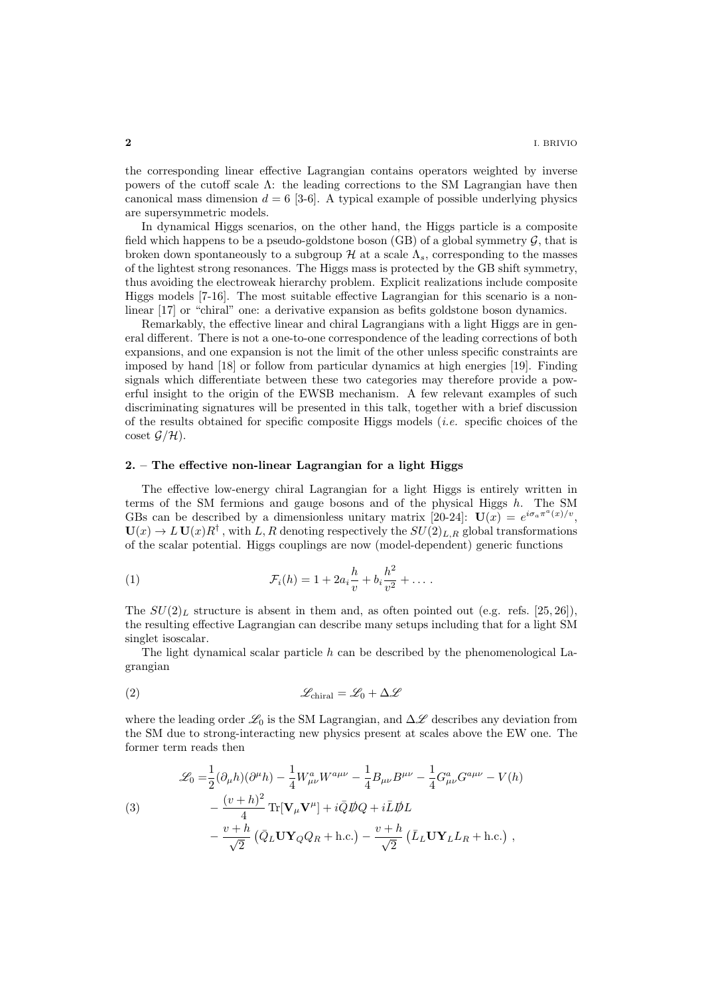the corresponding linear effective Lagrangian contains operators weighted by inverse powers of the cutoff scale Λ: the leading corrections to the SM Lagrangian have then canonical mass dimension  $d = 6$  [3-6]. A typical example of possible underlying physics are supersymmetric models.

In dynamical Higgs scenarios, on the other hand, the Higgs particle is a composite field which happens to be a pseudo-goldstone boson  $(GB)$  of a global symmetry  $G$ , that is broken down spontaneously to a subgroup  $\mathcal H$  at a scale  $\Lambda_s$ , corresponding to the masses of the lightest strong resonances. The Higgs mass is protected by the GB shift symmetry, thus avoiding the electroweak hierarchy problem. Explicit realizations include composite Higgs models [7-16]. The most suitable effective Lagrangian for this scenario is a nonlinear [17] or "chiral" one: a derivative expansion as befits goldstone boson dynamics.

Remarkably, the effective linear and chiral Lagrangians with a light Higgs are in general different. There is not a one-to-one correspondence of the leading corrections of both expansions, and one expansion is not the limit of the other unless specific constraints are imposed by hand [18] or follow from particular dynamics at high energies [19]. Finding signals which differentiate between these two categories may therefore provide a powerful insight to the origin of the EWSB mechanism. A few relevant examples of such discriminating signatures will be presented in this talk, together with a brief discussion of the results obtained for specific composite Higgs models (*i.e.* specific choices of the coset  $\mathcal{G}/\mathcal{H}$ ).

#### 2. – The effective non-linear Lagrangian for a light Higgs

The effective low-energy chiral Lagrangian for a light Higgs is entirely written in terms of the SM fermions and gauge bosons and of the physical Higgs  $h$ . The SM GBs can be described by a dimensionless unitary matrix [20-24]:  $\mathbf{U}(\tilde{x}) = e^{i\sigma_a \pi^a(x)/v}$ ,  $U(x) \to L U(x) R^{\dagger}$ , with L, R denoting respectively the  $SU(2)_{L,R}$  global transformations of the scalar potential. Higgs couplings are now (model-dependent) generic functions

(1) 
$$
\mathcal{F}_i(h) = 1 + 2a_i \frac{h}{v} + b_i \frac{h^2}{v^2} + \dots
$$

The  $SU(2)_L$  structure is absent in them and, as often pointed out (e.g. refs. [25, 26]), the resulting effective Lagrangian can describe many setups including that for a light SM singlet isoscalar.

The light dynamical scalar particle  $h$  can be described by the phenomenological Lagrangian

$$
\mathscr{L}_{\text{chiral}} = \mathscr{L}_0 + \Delta \mathscr{L}
$$

where the leading order  $\mathcal{L}_0$  is the SM Lagrangian, and  $\Delta \mathcal{L}$  describes any deviation from the SM due to strong-interacting new physics present at scales above the EW one. The former term reads then

(3)  
\n
$$
\mathcal{L}_0 = \frac{1}{2} (\partial_\mu h)(\partial^\mu h) - \frac{1}{4} W^a_{\mu\nu} W^{a\mu\nu} - \frac{1}{4} B_{\mu\nu} B^{\mu\nu} - \frac{1}{4} G^a_{\mu\nu} G^{a\mu\nu} - V(h)
$$
\n
$$
- \frac{(v+h)^2}{4} \text{Tr}[\mathbf{V}_\mu \mathbf{V}^\mu] + i \bar{Q} \not{D} Q + i \bar{L} \not{D} L
$$
\n
$$
- \frac{v+h}{\sqrt{2}} (\bar{Q}_L \mathbf{U} \mathbf{Y}_Q Q_R + \text{h.c.}) - \frac{v+h}{\sqrt{2}} (\bar{L}_L \mathbf{U} \mathbf{Y}_L L_R + \text{h.c.}),
$$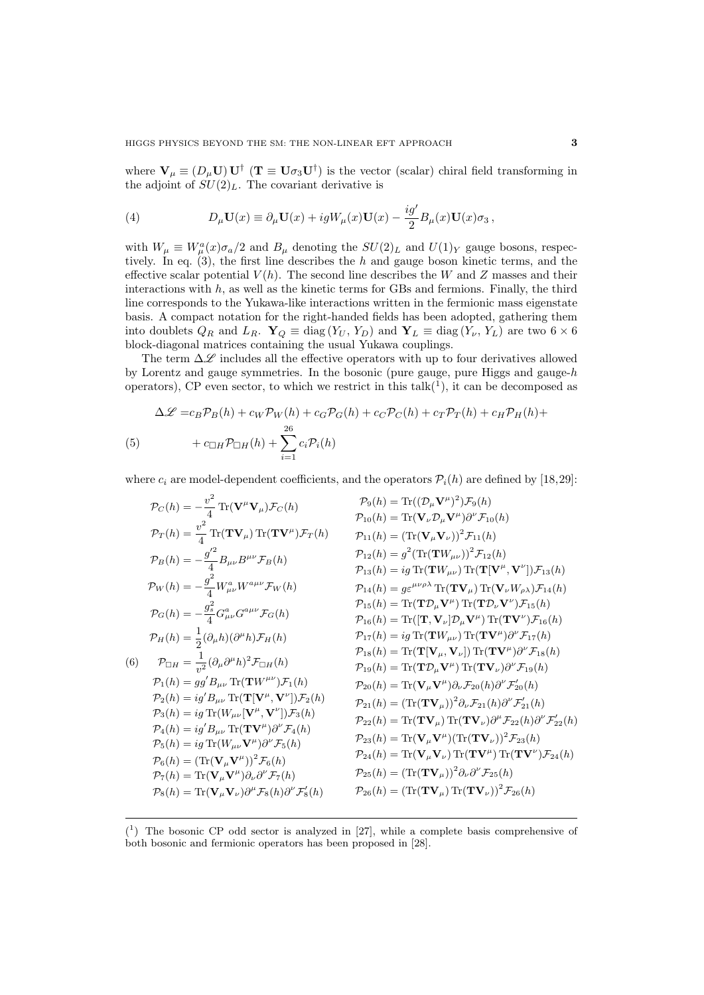where  $V_{\mu} \equiv (D_{\mu}U) U^{\dagger}$  ( $T \equiv U\sigma_3 U^{\dagger}$ ) is the vector (scalar) chiral field transforming in the adjoint of  $SU(2)_L$ . The covariant derivative is

(4) 
$$
D_{\mu} \mathbf{U}(x) \equiv \partial_{\mu} \mathbf{U}(x) + igW_{\mu}(x) \mathbf{U}(x) - \frac{ig'}{2} B_{\mu}(x) \mathbf{U}(x) \sigma_3,
$$

with  $W_{\mu} \equiv W_{\mu}^{a}(x)\sigma_{a}/2$  and  $B_{\mu}$  denoting the  $SU(2)_{L}$  and  $U(1)_{Y}$  gauge bosons, respectively. In eq.  $(3)$ , the first line describes the h and gauge boson kinetic terms, and the effective scalar potential  $V(h)$ . The second line describes the W and Z masses and their interactions with  $h$ , as well as the kinetic terms for GBs and fermions. Finally, the third line corresponds to the Yukawa-like interactions written in the fermionic mass eigenstate basis. A compact notation for the right-handed fields has been adopted, gathering them into doublets  $Q_R$  and  $L_R$ .  $\mathbf{Y}_Q \equiv \text{diag}(Y_U, Y_D)$  and  $\mathbf{Y}_L \equiv \text{diag}(Y_\nu, Y_L)$  are two  $6 \times 6$ block-diagonal matrices containing the usual Yukawa couplings.

The term  $\Delta \mathscr{L}$  includes all the effective operators with up to four derivatives allowed by Lorentz and gauge symmetries. In the bosonic (pure gauge, pure Higgs and gauge-h operators), CP even sector, to which we restrict in this  $talk<sup>(1)</sup>$ , it can be decomposed as

$$
\Delta \mathcal{L} = c_B \mathcal{P}_B(h) + c_W \mathcal{P}_W(h) + c_G \mathcal{P}_G(h) + c_C \mathcal{P}_C(h) + c_T \mathcal{P}_T(h) + c_H \mathcal{P}_H(h) +
$$
  
(5) 
$$
+ c_{\Box H} \mathcal{P}_{\Box H}(h) + \sum_{i=1}^{26} c_i \mathcal{P}_i(h)
$$

where  $c_i$  are model-dependent coefficients, and the operators  $\mathcal{P}_i(h)$  are defined by [18,29]:

$$
P_C(h) = -\frac{v^2}{4} \text{Tr}(\mathbf{V}^{\mu}\mathbf{V}_{\mu})\mathcal{F}_C(h) \qquad P_9(h) = \text{Tr}((\mathcal{D}_{\mu}\mathbf{V}^{\mu})^2)\mathcal{F}_9(h) \n\mathcal{P}_T(h) = \frac{v^2}{4} \text{Tr}(\mathbf{TV}_{\mu}) \text{Tr}(\mathbf{TV}^{\mu})\mathcal{F}_T(h) \qquad P_{11}(h) = (\text{Tr}(\mathbf{V}_{\mu}\mathbf{V}_{\nu}))^2 \mathcal{F}_{11}(h) \n\mathcal{P}_B(h) = -\frac{g'^2}{4} B_{\mu\nu} B^{\mu\nu} \mathcal{F}_B(h) \qquad P_{12}(h) = g^2 (\text{Tr}(\mathbf{T}W_{\mu\nu}))^2 \mathcal{F}_{12}(h) \n\mathcal{P}_W(h) = -\frac{g^2}{4} W^a_{\mu\nu} W^{a\mu\nu} \mathcal{F}_W(h) \qquad P_{14}(h) = g \text{Tr}(\mathbf{T}W_{\mu\nu}) \text{Tr}(\mathbf{T}(\mathbf{V}^{\mu}, \mathbf{V}^{\nu})) \mathcal{F}_{13}(h) \n\mathcal{P}_G(h) = -\frac{g_s^2}{4} G^a_{\mu\nu} G^{a\mu\nu} \mathcal{F}_G(h) \qquad P_{15}(h) = \text{Tr}(\mathbf{T}\mathbf{V}_{\mu}) \text{Tr}(\mathbf{T}\mathbf{V}_{\nu} \mathbf{V}_{\rho} \mathbf{N}) \mathcal{F}_{14}(h) \n\mathcal{P}_H(h) = \frac{1}{2} (\partial_{\mu}h)(\partial^{\mu}h) \mathcal{F}_H(h) \qquad P_{17}(h) = ig \text{Tr}(\mathbf{T}W_{\mu\nu}) \text{Tr}(\mathbf{T}\mathbf{V}^{\mu}) \partial^{\nu} \mathcal{F}_{15}(h) \n\mathcal{P}_H(h) = \frac{1}{2} (\partial_{\mu}h)(\partial^{\mu}h) \mathcal{F}_H(h) \qquad P_{17}(h) = ig \text{Tr}(\mathbf{T}W_{\mu\nu}) \text{Tr}(\mathbf{T}\mathbf{V}^{\mu}) \partial^{\nu} \mathcal{F}_{15}(h)
$$

 $({}^{1})$  The bosonic CP odd sector is analyzed in [27], while a complete basis comprehensive of both bosonic and fermionic operators has been proposed in [28].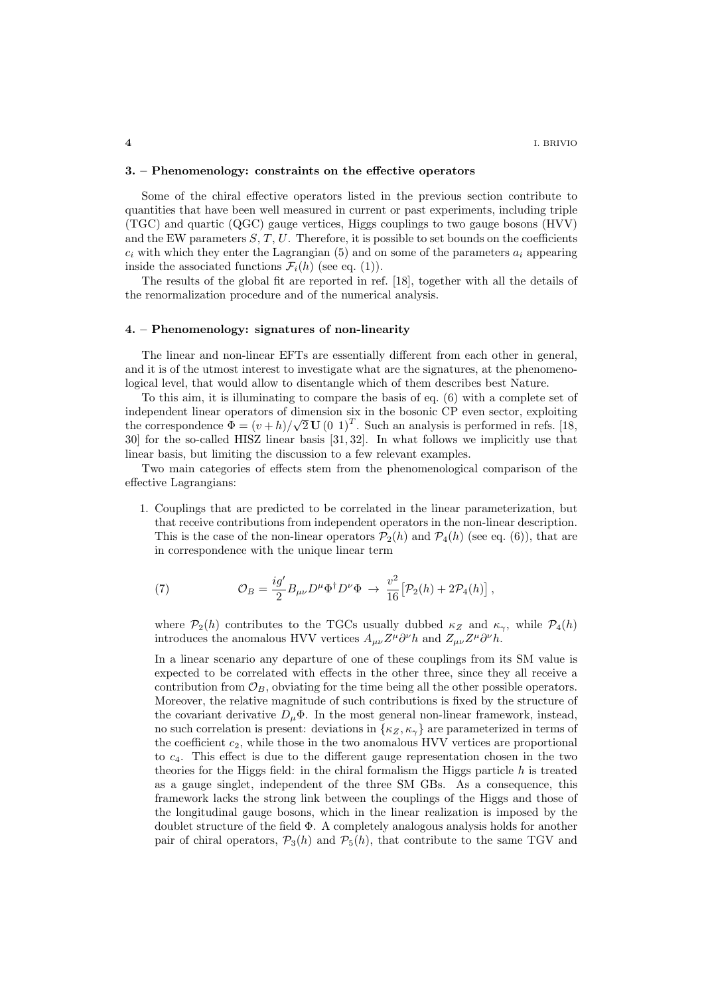### 3. – Phenomenology: constraints on the effective operators

Some of the chiral effective operators listed in the previous section contribute to quantities that have been well measured in current or past experiments, including triple (TGC) and quartic (QGC) gauge vertices, Higgs couplings to two gauge bosons (HVV) and the EW parameters  $S, T, U$ . Therefore, it is possible to set bounds on the coefficients  $c_i$  with which they enter the Lagrangian (5) and on some of the parameters  $a_i$  appearing inside the associated functions  $\mathcal{F}_i(h)$  (see eq. (1)).

The results of the global fit are reported in ref. [18], together with all the details of the renormalization procedure and of the numerical analysis.

# 4. – Phenomenology: signatures of non-linearity

The linear and non-linear EFTs are essentially different from each other in general, and it is of the utmost interest to investigate what are the signatures, at the phenomenological level, that would allow to disentangle which of them describes best Nature.

To this aim, it is illuminating to compare the basis of eq. (6) with a complete set of independent linear operators of dimension six in the bosonic CP even sector, exploiting the correspondence  $\vec{\Phi} = (v + h)/\sqrt{2} \mathbf{U} (0 \ 1)^T$ . Such an analysis is performed in refs. [18, 30] for the so-called HISZ linear basis [31, 32]. In what follows we implicitly use that linear basis, but limiting the discussion to a few relevant examples.

Two main categories of effects stem from the phenomenological comparison of the effective Lagrangians:

1. Couplings that are predicted to be correlated in the linear parameterization, but that receive contributions from independent operators in the non-linear description. This is the case of the non-linear operators  $\mathcal{P}_2(h)$  and  $\mathcal{P}_4(h)$  (see eq. (6)), that are in correspondence with the unique linear term

(7) 
$$
\mathcal{O}_B = \frac{ig'}{2} B_{\mu\nu} D^{\mu} \Phi^{\dagger} D^{\nu} \Phi \rightarrow \frac{v^2}{16} \big[ \mathcal{P}_2(h) + 2\mathcal{P}_4(h) \big],
$$

where  $\mathcal{P}_2(h)$  contributes to the TGCs usually dubbed  $\kappa_Z$  and  $\kappa_{\gamma}$ , while  $\mathcal{P}_4(h)$ introduces the anomalous HVV vertices  $A_{\mu\nu}Z^{\mu}\partial^{\nu}h$  and  $Z_{\mu\nu}Z^{\mu}\partial^{\nu}h$ .

In a linear scenario any departure of one of these couplings from its SM value is expected to be correlated with effects in the other three, since they all receive a contribution from  $\mathcal{O}_B$ , obviating for the time being all the other possible operators. Moreover, the relative magnitude of such contributions is fixed by the structure of the covariant derivative  $D_{\mu}\Phi$ . In the most general non-linear framework, instead, no such correlation is present: deviations in  $\{\kappa_Z, \kappa_Y\}$  are parameterized in terms of the coefficient  $c_2$ , while those in the two anomalous HVV vertices are proportional to  $c<sub>4</sub>$ . This effect is due to the different gauge representation chosen in the two theories for the Higgs field: in the chiral formalism the Higgs particle  $h$  is treated as a gauge singlet, independent of the three SM GBs. As a consequence, this framework lacks the strong link between the couplings of the Higgs and those of the longitudinal gauge bosons, which in the linear realization is imposed by the doublet structure of the field Φ. A completely analogous analysis holds for another pair of chiral operators,  $\mathcal{P}_3(h)$  and  $\mathcal{P}_5(h)$ , that contribute to the same TGV and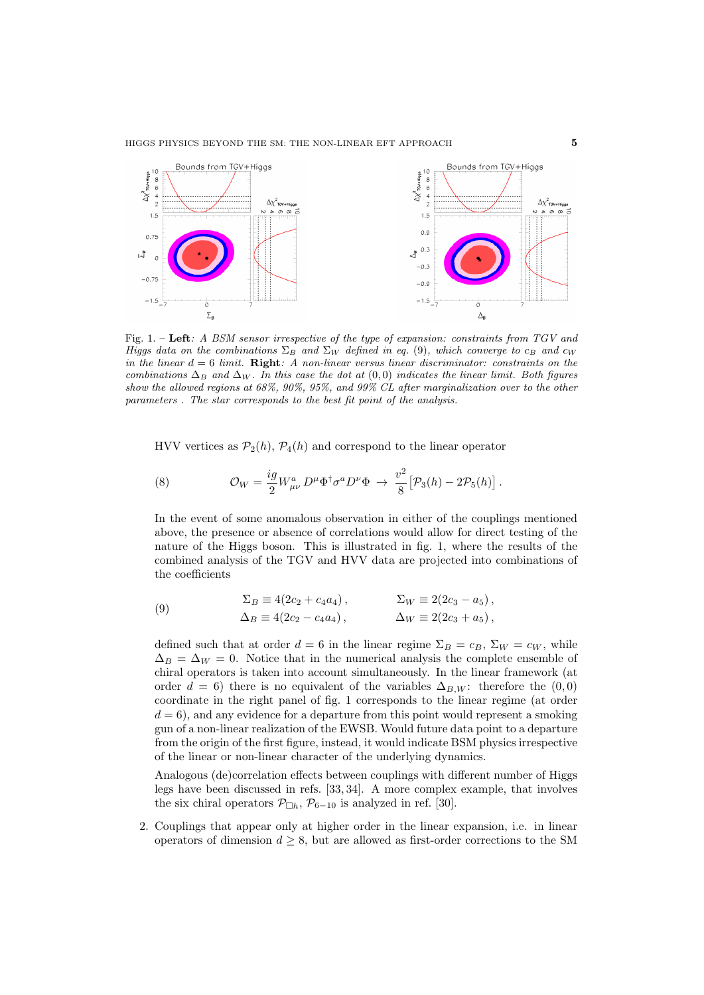

Fig. 1. – Left: A BSM sensor irrespective of the type of expansion: constraints from TGV and Higgs data on the combinations  $\Sigma_B$  and  $\Sigma_W$  defined in eq. (9), which converge to  $c_B$  and  $c_W$ in the linear  $d = 6$  limit. Right: A non-linear versus linear discriminator: constraints on the combinations  $\Delta_B$  and  $\Delta_W$ . In this case the dot at  $(0,0)$  indicates the linear limit. Both figures show the allowed regions at 68%, 90%, 95%, and 99% CL after marginalization over to the other parameters . The star corresponds to the best fit point of the analysis.

HVV vertices as  $\mathcal{P}_2(h)$ ,  $\mathcal{P}_4(h)$  and correspond to the linear operator

(8) 
$$
\mathcal{O}_W = \frac{ig}{2} W^a_{\mu\nu} D^{\mu} \Phi^{\dagger} \sigma^a D^{\nu} \Phi \rightarrow \frac{v^2}{8} [\mathcal{P}_3(h) - 2\mathcal{P}_5(h)].
$$

In the event of some anomalous observation in either of the couplings mentioned above, the presence or absence of correlations would allow for direct testing of the nature of the Higgs boson. This is illustrated in fig. 1, where the results of the combined analysis of the TGV and HVV data are projected into combinations of the coefficients

(9) 
$$
\Sigma_B \equiv 4(2c_2 + c_4a_4), \qquad \Sigma_W \equiv 2(2c_3 - a_5), \Delta_B \equiv 4(2c_2 - c_4a_4), \qquad \Delta_W \equiv 2(2c_3 + a_5),
$$

defined such that at order  $d = 6$  in the linear regime  $\Sigma_B = c_B$ ,  $\Sigma_W = c_W$ , while  $\Delta_B = \Delta_W = 0$ . Notice that in the numerical analysis the complete ensemble of chiral operators is taken into account simultaneously. In the linear framework (at order  $d = 6$ ) there is no equivalent of the variables  $\Delta_{B,W}$ : therefore the  $(0,0)$ coordinate in the right panel of fig. 1 corresponds to the linear regime (at order  $d = 6$ , and any evidence for a departure from this point would represent a smoking gun of a non-linear realization of the EWSB. Would future data point to a departure from the origin of the first figure, instead, it would indicate BSM physics irrespective of the linear or non-linear character of the underlying dynamics.

Analogous (de)correlation effects between couplings with different number of Higgs legs have been discussed in refs. [33, 34]. A more complex example, that involves the six chiral operators  $\mathcal{P}_{\Box h}$ ,  $\mathcal{P}_{6-10}$  is analyzed in ref. [30].

2. Couplings that appear only at higher order in the linear expansion, i.e. in linear operators of dimension  $d \geq 8$ , but are allowed as first-order corrections to the SM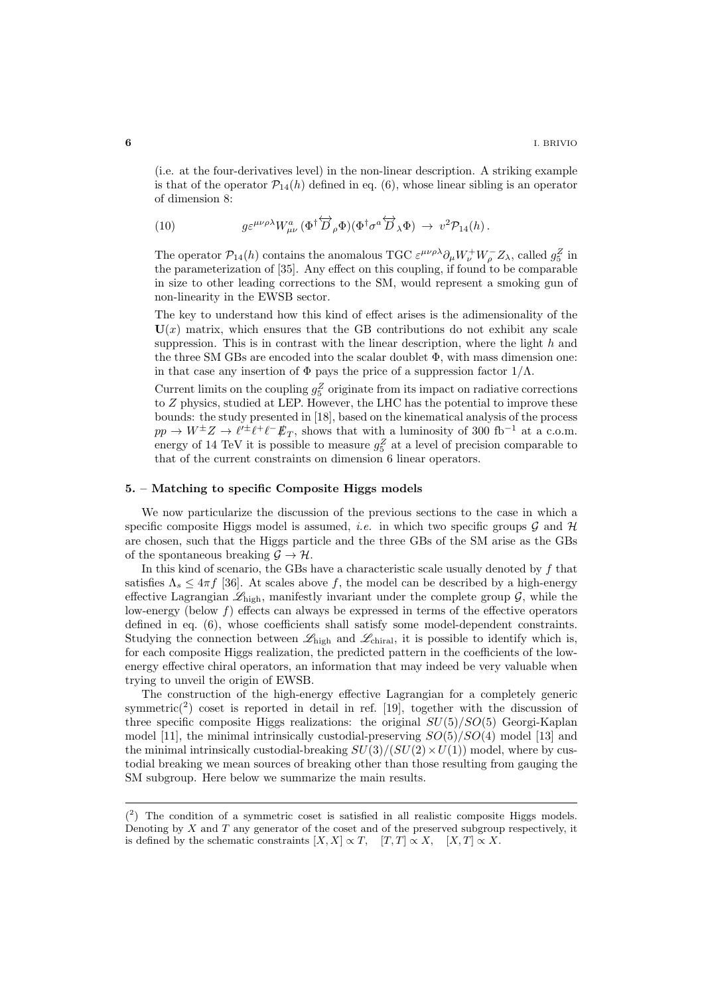(i.e. at the four-derivatives level) in the non-linear description. A striking example is that of the operator  $\mathcal{P}_{14}(h)$  defined in eq. (6), whose linear sibling is an operator of dimension 8:

(10) 
$$
g \varepsilon^{\mu\nu\rho\lambda} W^a_{\mu\nu} (\Phi^{\dagger} \overleftrightarrow{D}_{\rho} \Phi) (\Phi^{\dagger} \sigma^a \overleftrightarrow{D}_{\lambda} \Phi) \rightarrow v^2 \mathcal{P}_{14}(h) .
$$

The operator  $\mathcal{P}_{14}(h)$  contains the anomalous TGC  $\varepsilon^{\mu\nu\rho\lambda}\partial_{\mu}W_{\nu}^{+}W_{\rho}^{-}Z_{\lambda}$ , called  $g_5^Z$  in the parameterization of  $[35]$ . Any effect on this coupling, if found to be comparable in size to other leading corrections to the SM, would represent a smoking gun of non-linearity in the EWSB sector.

The key to understand how this kind of effect arises is the adimensionality of the  $U(x)$  matrix, which ensures that the GB contributions do not exhibit any scale suppression. This is in contrast with the linear description, where the light  $h$  and the three SM GBs are encoded into the scalar doublet  $\Phi$ , with mass dimension one: in that case any insertion of  $\Phi$  pays the price of a suppression factor  $1/\Lambda$ .

Current limits on the coupling  $g_5^Z$  originate from its impact on radiative corrections to Z physics, studied at LEP. However, the LHC has the potential to improve these bounds: the study presented in [18], based on the kinematical analysis of the process  $pp \to W^{\pm}Z \to \ell^{\prime \pm} \ell^+ \ell^- \rlap{\,/}E_T$ , shows that with a luminosity of 300 fb<sup>-1</sup> at a c.o.m. energy of 14 TeV it is possible to measure  $g_5^Z$  at a level of precision comparable to that of the current constraints on dimension 6 linear operators.

## 5. – Matching to specific Composite Higgs models

We now particularize the discussion of the previous sections to the case in which a specific composite Higgs model is assumed, *i.e.* in which two specific groups  $\mathcal G$  and  $\mathcal H$ are chosen, such that the Higgs particle and the three GBs of the SM arise as the GBs of the spontaneous breaking  $\mathcal{G} \to \mathcal{H}$ .

In this kind of scenario, the GBs have a characteristic scale usually denoted by  $f$  that satisfies  $\Lambda_s \leq 4\pi f$  [36]. At scales above f, the model can be described by a high-energy effective Lagrangian  $\mathscr{L}_{\text{high}}$ , manifestly invariant under the complete group  $\mathcal{G}$ , while the low-energy (below  $f$ ) effects can always be expressed in terms of the effective operators defined in eq. (6), whose coefficients shall satisfy some model-dependent constraints. Studying the connection between  $\mathscr{L}_{\text{high}}$  and  $\mathscr{L}_{\text{chiral}}$ , it is possible to identify which is, for each composite Higgs realization, the predicted pattern in the coefficients of the lowenergy effective chiral operators, an information that may indeed be very valuable when trying to unveil the origin of EWSB.

The construction of the high-energy effective Lagrangian for a completely generic symmetric<sup>(2</sup>) coset is reported in detail in ref. [19], together with the discussion of three specific composite Higgs realizations: the original  $SU(5)/SO(5)$  Georgi-Kaplan model [11], the minimal intrinsically custodial-preserving  $SO(5)/SO(4)$  model [13] and the minimal intrinsically custodial-breaking  $SU(3)/(SU(2) \times U(1))$  model, where by custodial breaking we mean sources of breaking other than those resulting from gauging the SM subgroup. Here below we summarize the main results.

 $(2)$  The condition of a symmetric coset is satisfied in all realistic composite Higgs models. Denoting by  $X$  and  $T$  any generator of the coset and of the preserved subgroup respectively, it is defined by the schematic constraints  $[X, X] \propto T$ ,  $[T, T] \propto X$ ,  $[X, T] \propto X$ .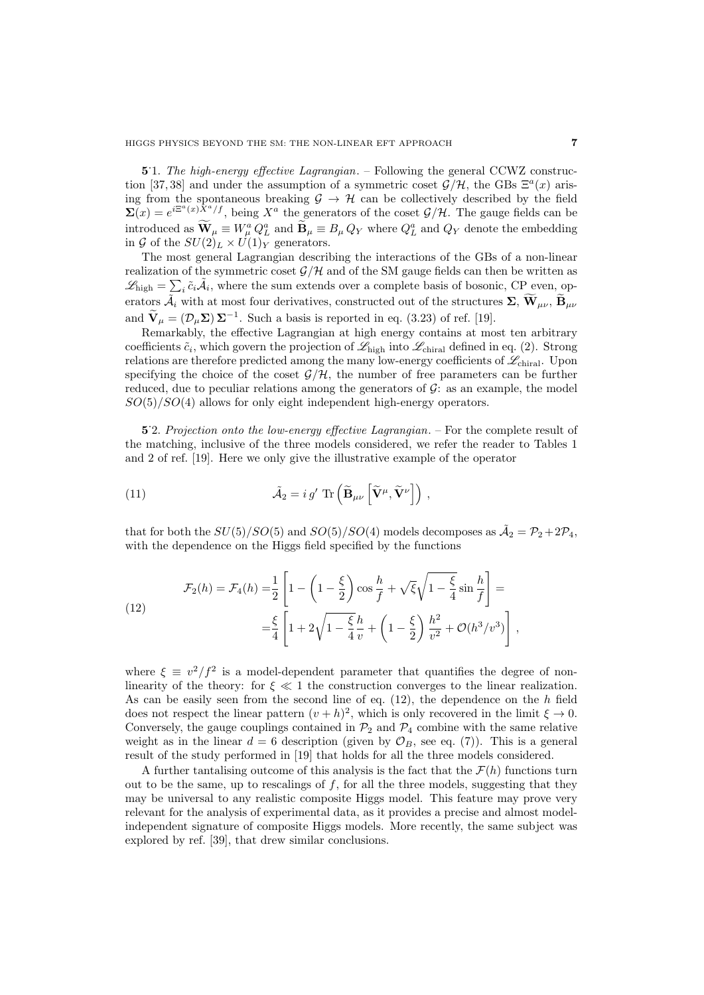5.1. The high-energy effective Lagrangian. – Following the general CCWZ construction [37,38] and under the assumption of a symmetric coset  $\mathcal{G}/\mathcal{H}$ , the GBs  $\Xi^a(x)$  arising from the spontaneous breaking  $\mathcal{G} \to \mathcal{H}$  can be collectively described by the field  $\sum(x) = e^{i\Xi^a(x)\tilde{X}^a/f}$ , being  $X^a$  the generators of the coset  $\mathcal{G}/\mathcal{H}$ . The gauge fields can be introduced as  $\mathbf{W}_{\mu} \equiv W_{\mu}^a Q_{\mu}^a$  and  $\mathbf{B}_{\mu} \equiv B_{\mu} Q_Y$  where  $Q_L^a$  and  $Q_Y$  denote the embedding in G of the  $SU(2)_L \times U(1)_Y$  generators.

The most general Lagrangian describing the interactions of the GBs of a non-linear realization of the symmetric coset  $\mathcal{G}/\mathcal{H}$  and of the SM gauge fields can then be written as  $\mathscr{L}_{\text{high}} = \sum_{i} \tilde{c}_i \tilde{\mathcal{A}}_i$ , where the sum extends over a complete basis of bosonic, CP even, operators  $\tilde{\mathcal{A}}_i$  with at most four derivatives, constructed out of the structures  $\Sigma$ ,  $\widetilde{\mathbf{W}}_{\mu\nu}$ ,  $\widetilde{\mathbf{B}}_{\mu\nu}$ and  $\widetilde{\mathbf{V}}_{\mu} = (\mathcal{D}_{\mu} \Sigma) \Sigma^{-1}$ . Such a basis is reported in eq. (3.23) of ref. [19].

Remarkably, the effective Lagrangian at high energy contains at most ten arbitrary coefficients  $\tilde{c}_i$ , which govern the projection of  $\mathscr{L}_{\text{high}}$  into  $\mathscr{L}_{\text{chiral}}$  defined in eq. (2). Strong relations are therefore predicted among the many low-energy coefficients of  $\mathscr{L}_{\text{chiral}}$ . Upon specifying the choice of the coset  $\mathcal{G}/\mathcal{H}$ , the number of free parameters can be further reduced, due to peculiar relations among the generators of  $\mathcal{G}$ : as an example, the model  $SO(5)/SO(4)$  allows for only eight independent high-energy operators.

5.2. Projection onto the low-energy effective Lagrangian. – For the complete result of the matching, inclusive of the three models considered, we refer the reader to Tables 1 and 2 of ref. [19]. Here we only give the illustrative example of the operator

(11) 
$$
\tilde{\mathcal{A}}_2 = i g' \operatorname{Tr} \left( \tilde{\mathbf{B}}_{\mu\nu} \left[ \tilde{\mathbf{V}}^{\mu}, \tilde{\mathbf{V}}^{\nu} \right] \right),
$$

that for both the  $SU(5)/SO(5)$  and  $SO(5)/SO(4)$  models decomposes as  $\tilde{A}_2 = \mathcal{P}_2 + 2\mathcal{P}_4$ , with the dependence on the Higgs field specified by the functions

(12) 
$$
\mathcal{F}_2(h) = \mathcal{F}_4(h) = \frac{1}{2} \left[ 1 - \left( 1 - \frac{\xi}{2} \right) \cos \frac{h}{f} + \sqrt{\xi} \sqrt{1 - \frac{\xi}{4}} \sin \frac{h}{f} \right] = \\ = \frac{\xi}{4} \left[ 1 + 2\sqrt{1 - \frac{\xi}{4}} \frac{h}{v} + \left( 1 - \frac{\xi}{2} \right) \frac{h^2}{v^2} + \mathcal{O}(h^3/v^3) \right],
$$

where  $\xi \equiv v^2/f^2$  is a model-dependent parameter that quantifies the degree of nonlinearity of the theory: for  $\xi \ll 1$  the construction converges to the linear realization. As can be easily seen from the second line of eq.  $(12)$ , the dependence on the h field does not respect the linear pattern  $(v+h)^2$ , which is only recovered in the limit  $\xi \to 0$ . Conversely, the gauge couplings contained in  $\mathcal{P}_2$  and  $\mathcal{P}_4$  combine with the same relative weight as in the linear  $d = 6$  description (given by  $\mathcal{O}_B$ , see eq. (7)). This is a general result of the study performed in [19] that holds for all the three models considered.

A further tantalising outcome of this analysis is the fact that the  $\mathcal{F}(h)$  functions turn out to be the same, up to rescalings of  $f$ , for all the three models, suggesting that they may be universal to any realistic composite Higgs model. This feature may prove very relevant for the analysis of experimental data, as it provides a precise and almost modelindependent signature of composite Higgs models. More recently, the same subject was explored by ref. [39], that drew similar conclusions.